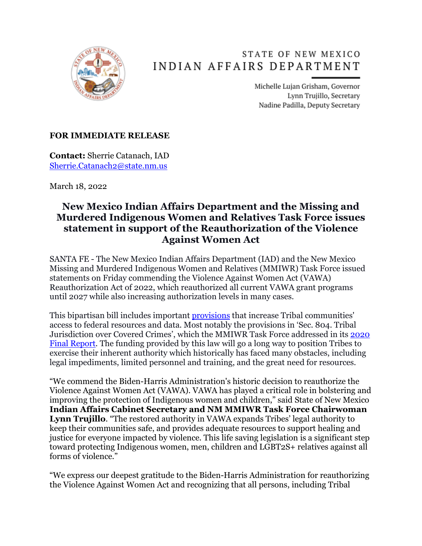

## STATE OF NEW MEXICO INDIAN AFFAIRS DEPARTMENT

Michelle Lujan Grisham, Governor Lynn Trujillo, Secretary Nadine Padilla, Deputy Secretary

## **FOR IMMEDIATE RELEASE**

**Contact:** Sherrie Catanach, IAD [Sherrie.Catanach2@state.nm.us](mailto:Sherrie.Catanach2@state.nm.us)

March 18, 2022

## **New Mexico Indian Affairs Department and the Missing and Murdered Indigenous Women and Relatives Task Force issues statement in support of the Reauthorization of the Violence Against Women Act**

SANTA FE - The New Mexico Indian Affairs Department (IAD) and the New Mexico Missing and Murdered Indigenous Women and Relatives (MMIWR) Task Force issued statements on Friday commending the Violence Against Women Act (VAWA) Reauthorization Act of 2022, which reauthorized all current VAWA grant programs until 2027 while also increasing authorization levels in many cases.

This bipartisan bill includes important [provisions](https://www.indian.senate.gov/sites/default/files/Sec-by-Sec%20Bipar%20VAWA%202022%20Reauth%20Tribal%20Title.pdf) that increase Tribal communities' access to federal resources and data. Most notably the provisions in 'Sec. 804. Tribal Jurisdiction over Covered Crimes', which the MMIWR Task Force addressed in its [2020](https://www.iad.state.nm.us/wp-content/uploads/2020/12/NM_MMIWR_Report_FINAL_WEB_v120920.pdf)  [Final Report.](https://www.iad.state.nm.us/wp-content/uploads/2020/12/NM_MMIWR_Report_FINAL_WEB_v120920.pdf) The funding provided by this law will go a long way to position Tribes to exercise their inherent authority which historically has faced many obstacles, including legal impediments, limited personnel and training, and the great need for resources.

"We commend the Biden-Harris Administration's historic decision to reauthorize the Violence Against Women Act (VAWA). VAWA has played a critical role in bolstering and improving the protection of Indigenous women and children," said State of New Mexico **Indian Affairs Cabinet Secretary and NM MMIWR Task Force Chairwoman Lynn Trujillo**. "The restored authority in VAWA expands Tribes' legal authority to keep their communities safe, and provides adequate resources to support healing and justice for everyone impacted by violence. This life saving legislation is a significant step toward protecting Indigenous women, men, children and LGBT2S+ relatives against all forms of violence."

"We express our deepest gratitude to the Biden-Harris Administration for reauthorizing the Violence Against Women Act and recognizing that all persons, including Tribal